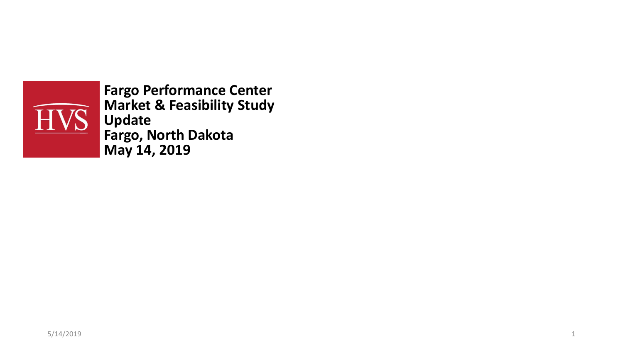

**Fargo Performance Center Market & Feasibility Study Update Fargo, North Dakota May 14, 2019**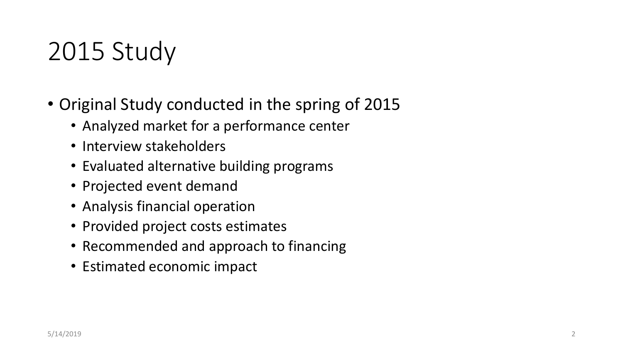## 2015 Study

- Original Study conducted in the spring of 2015
	- Analyzed market for a performance center
	- Interview stakeholders
	- Evaluated alternative building programs
	- Projected event demand
	- Analysis financial operation
	- Provided project costs estimates
	- Recommended and approach to financing
	- Estimated economic impact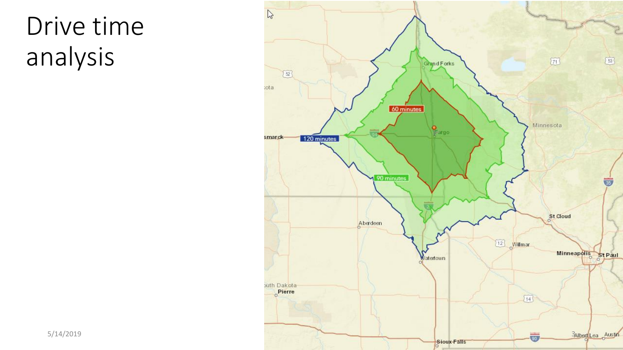### Drive time analysis

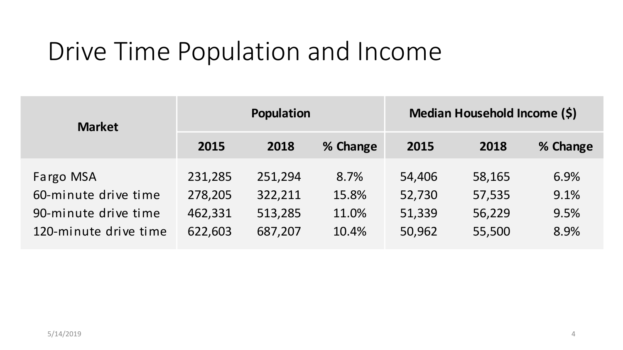### Drive Time Population and Income

| <b>Market</b>                                                                      |                                          | Population                               |                                 | Median Household Income (\$)         |                                      |                              |  |
|------------------------------------------------------------------------------------|------------------------------------------|------------------------------------------|---------------------------------|--------------------------------------|--------------------------------------|------------------------------|--|
|                                                                                    | 2015                                     | 2018                                     | % Change                        | 2015                                 | 2018                                 | % Change                     |  |
| Fargo MSA<br>60-minute drive time<br>90-minute drive time<br>120-minute drive time | 231,285<br>278,205<br>462,331<br>622,603 | 251,294<br>322,211<br>513,285<br>687,207 | 8.7%<br>15.8%<br>11.0%<br>10.4% | 54,406<br>52,730<br>51,339<br>50,962 | 58,165<br>57,535<br>56,229<br>55,500 | 6.9%<br>9.1%<br>9.5%<br>8.9% |  |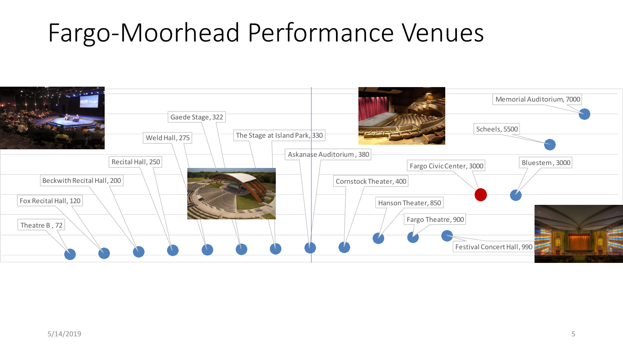### Fargo-Moorhead Performance Venues

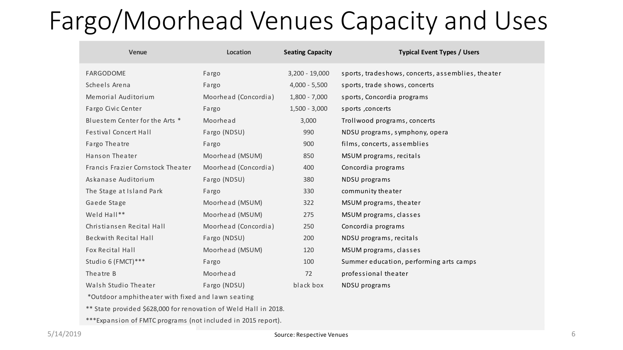### Fargo/Moorhead Venues Capacity and Uses

| <b>Venue</b>                      | Location             | <b>Seating Capacity</b> | <b>Typical Event Types / Users</b>                |
|-----------------------------------|----------------------|-------------------------|---------------------------------------------------|
| FARGODOME                         | Fargo                | $3,200 - 19,000$        | sports, tradeshows, concerts, assemblies, theater |
| Scheels Arena                     | Fargo                | $4,000 - 5,500$         | sports, trade shows, concerts                     |
| Memorial Auditorium               | Moorhead (Concordia) | $1,800 - 7,000$         | sports, Concordia programs                        |
| Fargo Civic Center                | Fargo                | $1,500 - 3,000$         | sports , concerts                                 |
| Bluestem Center for the Arts *    | Moorhead             | 3,000                   | Trollwood programs, concerts                      |
| <b>Festival Concert Hall</b>      | Fargo (NDSU)         | 990                     | NDSU programs, symphony, opera                    |
| Fargo Theatre                     | Fargo                | 900                     | films, concerts, assemblies                       |
| Hanson Theater                    | Moorhead (MSUM)      | 850                     | MSUM programs, recitals                           |
| Francis Frazier Cornstock Theater | Moorhead (Concordia) | 400                     | Concordia programs                                |
| Askanase Auditorium               | Fargo (NDSU)         | 380                     | NDSU programs                                     |
| The Stage at Island Park          | Fargo                | 330                     | community theater                                 |
| Gaede Stage                       | Moorhead (MSUM)      | 322                     | MSUM programs, theater                            |
| Weld Hall**                       | Moorhead (MSUM)      | 275                     | MSUM programs, classes                            |
| Christiansen Recital Hall         | Moorhead (Concordia) | 250                     | Concordia programs                                |
| <b>Beckwith Recital Hall</b>      | Fargo (NDSU)         | 200                     | NDSU programs, recitals                           |
| Fox Recital Hall                  | Moorhead (MSUM)      | 120                     | MSUM programs, classes                            |
| Studio 6 (FMCT)***                | Fargo                | 100                     | Summer education, performing arts camps           |
| Theatre B                         | Moorhead             | 72                      | professional theater                              |
| Walsh Studio Theater              | Fargo (NDSU)         | black box               | NDSU programs                                     |

\*Outdoor amphitheater with fixed and lawn seating

\*\* State provided \$628,000 for renovation of Weld Hall in 2018.

\*\*\*Expansion of FMTC programs (not included in 2015 report).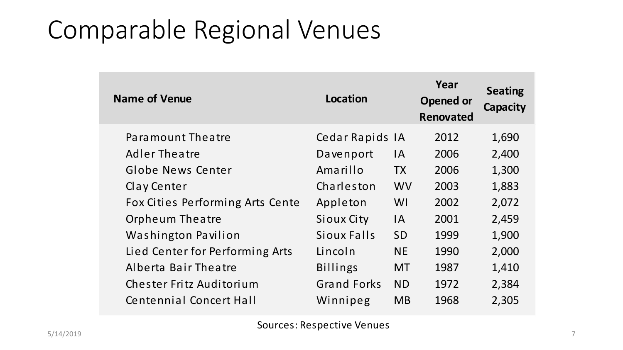### Comparable Regional Venues

| <b>Name of Venue</b>             | Location           |           | Year<br>Opened or<br><b>Renovated</b> | <b>Seating</b><br><b>Capacity</b> |
|----------------------------------|--------------------|-----------|---------------------------------------|-----------------------------------|
| Paramount Theatre                | Cedar Rapids IA    |           | 2012                                  | 1,690                             |
| <b>Adler Theatre</b>             | Davenport          | IA.       | 2006                                  | 2,400                             |
| Globe News Center                | Amarillo           | <b>TX</b> | 2006                                  | 1,300                             |
| Clay Center                      | Charleston         | <b>WV</b> | 2003                                  | 1,883                             |
| Fox Cities Performing Arts Cente | Appleton           | WI        | 2002                                  | 2,072                             |
| <b>Orpheum Theatre</b>           | Sioux City         | <b>IA</b> | 2001                                  | 2,459                             |
| Washington Pavilion              | Sioux Falls        | <b>SD</b> | 1999                                  | 1,900                             |
| Lied Center for Performing Arts  | Lincoln            | <b>NE</b> | 1990                                  | 2,000                             |
| Alberta Bair Theatre             | <b>Billings</b>    | <b>MT</b> | 1987                                  | 1,410                             |
| Chester Fritz Auditorium         | <b>Grand Forks</b> | <b>ND</b> | 1972                                  | 2,384                             |
| <b>Centennial Concert Hall</b>   | Winnipeg           | <b>MB</b> | 1968                                  | 2,305                             |

Sources: Respective Venues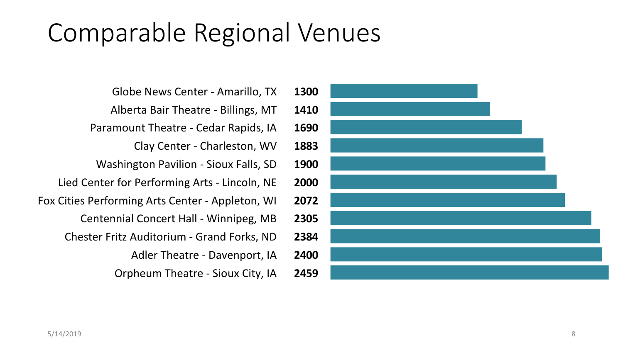### Comparable Regional Venues

- Globe News Center Amarillo, TX **1300**
- Alberta Bair Theatre Billings, MT **1410**
- Paramount Theatre Cedar Rapids, IA **1690**
	- Clay Center Charleston, WV **1883**
- Washington Pavilion Sioux Falls, SD **1900**
- Lied Center for Performing Arts Lincoln, NE **2000**
- Fox Cities Performing Arts Center Appleton, WI **2072**
	- Centennial Concert Hall Winnipeg, MB **2305**
	- Chester Fritz Auditorium Grand Forks, ND **2384**
		- Adler Theatre Davenport, IA **2400**
		- Orpheum Theatre Sioux City, IA **2459**

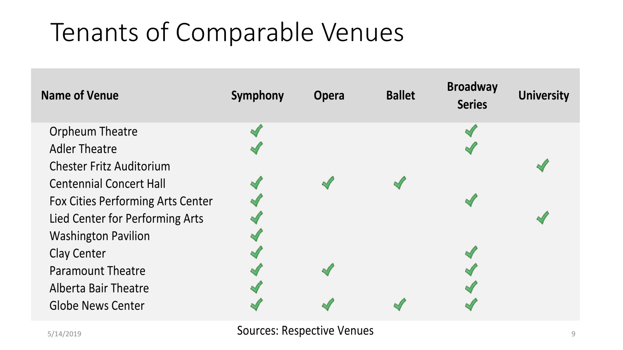# Tenants of Comparable Venues



5/14/2019 Sources: Respective Venues <sup>9</sup>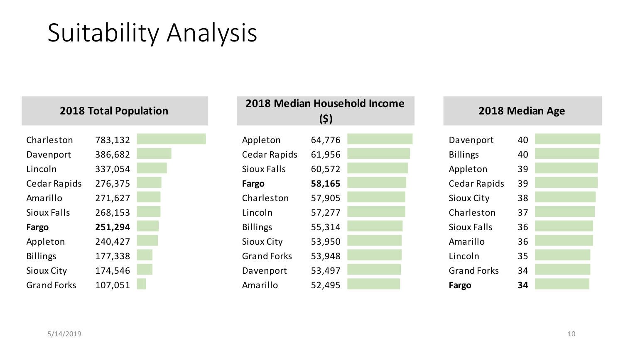### Suitability Analysis

|                   | <b>2018 Total Population</b> |  |
|-------------------|------------------------------|--|
|                   |                              |  |
| Charleston        | 783,132                      |  |
| Davenport         | 386,682                      |  |
| Lincoln           | 337,054                      |  |
| Cedar Rapids      | 276,375                      |  |
| Amarillo          | 271,627                      |  |
| Sioux Falls       | 268,153                      |  |
| Fargo             | 251,294                      |  |
| Appleton          | 240,427                      |  |
| <b>Billings</b>   | 177,338                      |  |
| <b>Sioux City</b> | 174,546                      |  |
| Grand Forks       | 107.051                      |  |

| <b>2018 Total Population</b> |         |  | 2018 Median Household Income<br>(\$) |        |  | <b>2018 Med</b> |                     |    |
|------------------------------|---------|--|--------------------------------------|--------|--|-----------------|---------------------|----|
| Charleston                   | 783,132 |  | Appleton                             | 64,776 |  |                 | Davenport           | 40 |
| Davenport                    | 386,682 |  | <b>Cedar Rapids</b>                  | 61,956 |  |                 | <b>Billings</b>     | 40 |
| Lincoln                      | 337,054 |  | <b>Sioux Falls</b>                   | 60,572 |  |                 | Appleton            | 39 |
| Cedar Rapids                 | 276,375 |  | Fargo                                | 58,165 |  |                 | <b>Cedar Rapids</b> | 39 |
| Amarillo                     | 271,627 |  | Charleston                           | 57,905 |  |                 | <b>Sioux City</b>   | 38 |
| Sioux Falls                  | 268,153 |  | Lincoln                              | 57,277 |  |                 | Charleston          | 37 |
| Fargo                        | 251,294 |  | <b>Billings</b>                      | 55,314 |  |                 | Sioux Falls         | 36 |
| Appleton                     | 240,427 |  | Sioux City                           | 53,950 |  |                 | Amarillo            | 36 |
| <b>Billings</b>              | 177,338 |  | <b>Grand Forks</b>                   | 53,948 |  |                 | Lincoln             | 35 |
| Sioux City                   | 174,546 |  | Davenport                            | 53,497 |  |                 | <b>Grand Forks</b>  | 34 |
| <b>Grand Forks</b>           | 107,051 |  | Amarillo                             | 52,495 |  |                 | Fargo               | 34 |

### **(\$) 2018 Median Age College Graduates**

| rt   | 40 |  |
|------|----|--|
|      | 40 |  |
|      | 39 |  |
| pids | 39 |  |
| I    | 38 |  |
| ρn   | 37 |  |
| S    | 36 |  |
|      | 36 |  |
|      | 35 |  |
| rks  | 34 |  |
|      | 34 |  |
|      |    |  |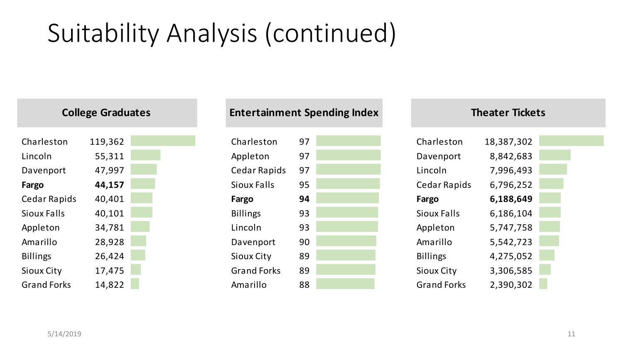# Suitability Analysis (continued)

| <b>College Graduates</b> |         |  |  |  |  |
|--------------------------|---------|--|--|--|--|
| Charleston               | 119,362 |  |  |  |  |
| Lincoln                  | 55,311  |  |  |  |  |
| Davenport                | 47,997  |  |  |  |  |
| Fargo                    | 44,157  |  |  |  |  |
| Cedar Rapids             | 40,401  |  |  |  |  |
| Sioux Falls              | 40,101  |  |  |  |  |
| Appleton                 | 34,781  |  |  |  |  |
| Amarillo                 | 28,928  |  |  |  |  |
| <b>Billings</b>          | 26,424  |  |  |  |  |
| <b>Sioux City</b>        | 17,475  |  |  |  |  |
| Grand Forks              | 14.822  |  |  |  |  |

#### **College Entertainment Spending Index Theater Tickets**

| 119,362 | Charleston         | 97 | Charleston         | 18,387,302 |
|---------|--------------------|----|--------------------|------------|
| 55,311  | Appleton           | 97 | Davenport          | 8,842,683  |
| 47,997  | Cedar Rapids       | 97 | Lincoln            | 7,996,493  |
| 44,157  | Sioux Falls        | 95 | Cedar Rapids       | 6,796,252  |
| 40,401  | Fargo              | 94 | Fargo              | 6,188,649  |
| 40,101  | <b>Billings</b>    | 93 | Sioux Falls        | 6,186,104  |
| 34,781  | Lincoln            | 93 | Appleton           | 5,747,758  |
| 28,928  | Davenport          | 90 | Amarillo           | 5,542,723  |
| 26,424  | Sioux City         | 89 | <b>Billings</b>    | 4,275,052  |
| 17,475  | <b>Grand Forks</b> | 89 | Sioux City         | 3,306,585  |
| 14,822  | Amarillo           | 88 | <b>Grand Forks</b> | 2,390,302  |
|         |                    |    |                    |            |

# Cedar Rapids 6,796,252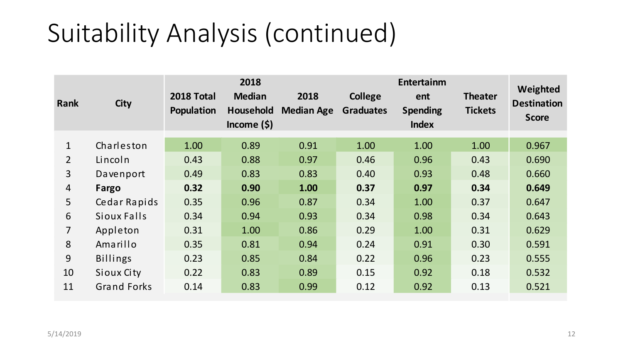### Suitability Analysis (continued)

| Rank           | <b>City</b>        | 2018 Total<br>Population | 2018<br><b>Median</b><br>Household<br>Income $(5)$ | 2018<br><b>Median Age</b> | <b>College</b><br><b>Graduates</b> | Entertainm<br>ent<br><b>Spending</b><br><b>Index</b> | <b>Theater</b><br><b>Tickets</b> | Weighted<br><b>Destination</b><br><b>Score</b> |
|----------------|--------------------|--------------------------|----------------------------------------------------|---------------------------|------------------------------------|------------------------------------------------------|----------------------------------|------------------------------------------------|
| $\mathbf{1}$   | Charleston         | 1.00                     | 0.89                                               | 0.91                      | 1.00                               | 1.00                                                 | 1.00                             | 0.967                                          |
| $\overline{2}$ | Lincoln            | 0.43                     | 0.88                                               | 0.97                      | 0.46                               | 0.96                                                 | 0.43                             | 0.690                                          |
| $\overline{3}$ | Davenport          | 0.49                     | 0.83                                               | 0.83                      | 0.40                               | 0.93                                                 | 0.48                             | 0.660                                          |
| $\overline{4}$ | Fargo              | 0.32                     | 0.90                                               | 1.00                      | 0.37                               | 0.97                                                 | 0.34                             | 0.649                                          |
| 5              | Cedar Rapids       | 0.35                     | 0.96                                               | 0.87                      | 0.34                               | 1.00                                                 | 0.37                             | 0.647                                          |
| 6              | Sioux Falls        | 0.34                     | 0.94                                               | 0.93                      | 0.34                               | 0.98                                                 | 0.34                             | 0.643                                          |
| $\overline{7}$ | Appleton           | 0.31                     | 1.00                                               | 0.86                      | 0.29                               | 1.00                                                 | 0.31                             | 0.629                                          |
| 8              | Amarillo           | 0.35                     | 0.81                                               | 0.94                      | 0.24                               | 0.91                                                 | 0.30                             | 0.591                                          |
| 9              | <b>Billings</b>    | 0.23                     | 0.85                                               | 0.84                      | 0.22                               | 0.96                                                 | 0.23                             | 0.555                                          |
| 10             | Sioux City         | 0.22                     | 0.83                                               | 0.89                      | 0.15                               | 0.92                                                 | 0.18                             | 0.532                                          |
| 11             | <b>Grand Forks</b> | 0.14                     | 0.83                                               | 0.99                      | 0.12                               | 0.92                                                 | 0.13                             | 0.521                                          |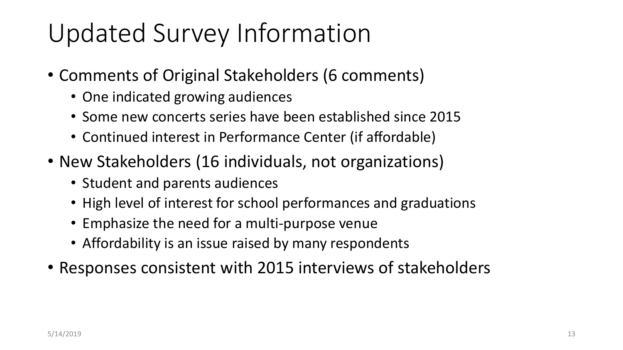### Updated Survey Information

- Comments of Original Stakeholders (6 comments)
	- One indicated growing audiences
	- Some new concerts series have been established since 2015
	- Continued interest in Performance Center (if affordable)
- New Stakeholders (16 individuals, not organizations)
	- Student and parents audiences
	- High level of interest for school performances and graduations
	- Emphasize the need for a multi-purpose venue
	- Affordability is an issue raised by many respondents
- Responses consistent with 2015 interviews of stakeholders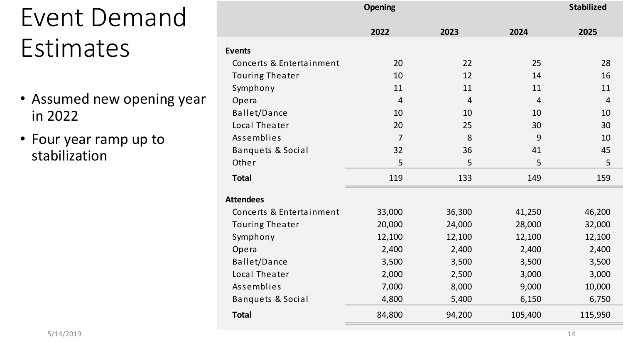# Event Demand **Estimates**

- Assumed new opening year in 2022
- Four year ramp up to stabilization

|                              | <b>Opening</b> | <b>Stabilized</b> |                |                |
|------------------------------|----------------|-------------------|----------------|----------------|
|                              | 2022           | 2023              | 2024           | 2025           |
| <b>Events</b>                |                |                   |                |                |
| Concerts & Entertainment     | 20             | 22                | 25             | 28             |
| <b>Touring Theater</b>       | 10             | 12                | 14             | 16             |
| Symphony                     | 11             | 11                | 11             | 11             |
| Opera                        | $\overline{4}$ | $\overline{4}$    | $\overline{4}$ | $\overline{4}$ |
| Ballet/Dance                 | 10             | 10                | 10             | 10             |
| Local Theater                | 20             | 25                | 30             | 30             |
| Assemblies                   | $\overline{7}$ | 8                 | 9              | 10             |
| <b>Banquets &amp; Social</b> | 32             | 36                | 41             | 45             |
| Other                        | 5              | 5                 | 5              | 5              |
| <b>Total</b>                 | 119            | 133               | 149            | 159            |
| <b>Attendees</b>             |                |                   |                |                |
| Concerts & Entertainment     | 33,000         | 36,300            | 41,250         | 46,200         |
| <b>Touring Theater</b>       | 20,000         | 24,000            | 28,000         | 32,000         |
| Symphony                     | 12,100         | 12,100            | 12,100         | 12,100         |
| Opera                        | 2,400          | 2,400             | 2,400          | 2,400          |
| Ballet/Dance                 | 3,500          | 3,500             | 3,500          | 3,500          |
| Local Theater                | 2,000          | 2,500             | 3,000          | 3,000          |
| Assemblies                   | 7,000          | 8,000             | 9,000          | 10,000         |
| <b>Banquets &amp; Social</b> | 4,800          | 5,400             | 6,150          | 6,750          |
| <b>Total</b>                 | 84,800         | 94,200            | 105,400        | 115,950        |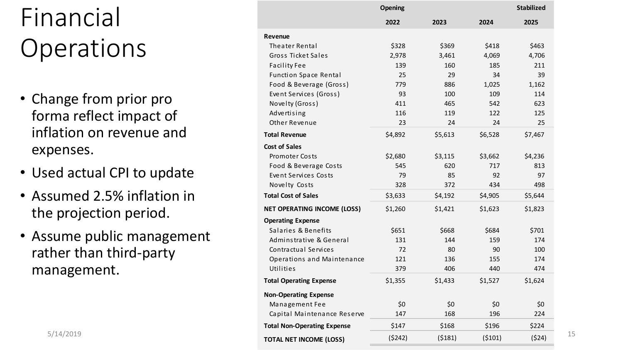## Financial **Operations**

- Change from prior pro forma reflect impact of inflation on revenue and expenses.
- Used actual CPI to update
- Assumed 2.5% inflation in the projection period .
- Assume public management rather than third -party management.

|                         | <b>Opening</b>                     |         |         |         |         |
|-------------------------|------------------------------------|---------|---------|---------|---------|
| ancial                  |                                    | 2022    | 2023    | 2024    | 2025    |
|                         | Revenue                            |         |         |         |         |
| erations                | <b>Theater Rental</b>              | \$328   | \$369   | \$418   | \$463   |
|                         | Gross Ticket Sales                 | 2,978   | 3,461   | 4,069   | 4,706   |
|                         | <b>Facility Fee</b>                | 139     | 160     | 185     | 211     |
|                         | <b>Function Space Rental</b>       | 25      | 29      | 34      | 39      |
|                         | Food & Beverage (Gross)            | 779     | 886     | 1,025   | 1,162   |
| ange from prior pro     | Event Services (Gross)             | 93      | 100     | 109     | 114     |
|                         | Novelty (Gross)                    | 411     | 465     | 542     | 623     |
| ma reflect impact of    | Advertising                        | 116     | 119     | 122     | 125     |
|                         | Other Revenue                      | 23      | 24      | 24      | 25      |
| lation on revenue and   | <b>Total Revenue</b>               | \$4,892 | \$5,613 | \$6,528 | \$7,467 |
| penses.                 | <b>Cost of Sales</b>               |         |         |         |         |
|                         | <b>Promoter Costs</b>              | \$2,680 | \$3,115 | \$3,662 | \$4,236 |
|                         | Food & Beverage Costs              | 545     | 620     | 717     | 813     |
| ed actual CPI to update | Event Services Costs               | 79      | 85      | 92      | 97      |
|                         | Novelty Costs                      | 328     | 372     | 434     | 498     |
| sumed 2.5% inflation in | <b>Total Cost of Sales</b>         | \$3,633 | \$4,192 | \$4,905 | \$5,644 |
| e projection period.    | <b>NET OPERATING INCOME (LOSS)</b> | \$1,260 | \$1,421 | \$1,623 | \$1,823 |
|                         | <b>Operating Expense</b>           |         |         |         |         |
|                         | Salaries & Benefits                | \$651   | \$668   | \$684   | \$701   |
| sume public management  | Adminstrative & General            | 131     | 144     | 159     | 174     |
| her than third-party:   | Contractual Services               | 72      | 80      | 90      | 100     |
|                         | Operations and Maintenance         | 121     | 136     | 155     | 174     |
| anagement.              | Utilities                          | 379     | 406     | 440     | 474     |
|                         | <b>Total Operating Expense</b>     | \$1,355 | \$1,433 | \$1,527 | \$1,624 |
|                         | <b>Non-Operating Expense</b>       |         |         |         |         |
|                         | Management Fee                     | \$0     | \$0     | \$0     | \$0     |
|                         | Capital Maintenance Reserve        | 147     | 168     | 196     | 224     |
|                         | <b>Total Non-Operating Expense</b> | \$147   | \$168   | \$196   | \$224   |
| 5/14/2019               | <b>TOTAL NET INCOME (LOSS)</b>     | (5242)  | (5181)  | (5101)  | (524)   |
|                         |                                    |         |         |         |         |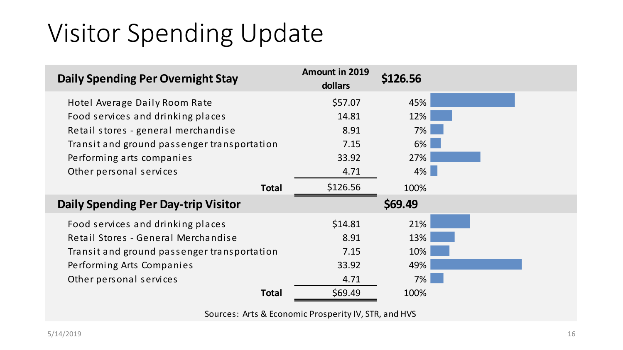### Visitor Spending Update

| <b>Daily Spending Per Overnight Stay</b>    | <b>Amount in 2019</b><br>dollars | \$126.56 |  |
|---------------------------------------------|----------------------------------|----------|--|
| Hotel Average Daily Room Rate               | \$57.07                          | 45%      |  |
| Food services and drinking places           | 14.81                            | 12%      |  |
| Retail stores - general merchandise         | 8.91                             | 7%       |  |
| Transit and ground passenger transportation | 7.15                             | 6%       |  |
| Performing arts companies                   | 33.92                            | 27%      |  |
| Other personal services                     | 4.71                             | $4\%$    |  |
| <b>Total</b>                                | \$126.56                         | 100%     |  |
| <b>Daily Spending Per Day-trip Visitor</b>  |                                  | \$69.49  |  |
| Food services and drinking places           | \$14.81                          | 21%      |  |
| Retail Stores - General Merchandise         | 8.91                             | 13%      |  |
| Transit and ground passenger transportation | 7.15                             | 10%      |  |
| Performing Arts Companies                   | 33.92                            | 49%      |  |
| Other personal services                     | 4.71                             | 7%       |  |
| <b>Total</b>                                | \$69.49                          | 100%     |  |

Sources: Arts & Economic Prosperity IV, STR, and HVS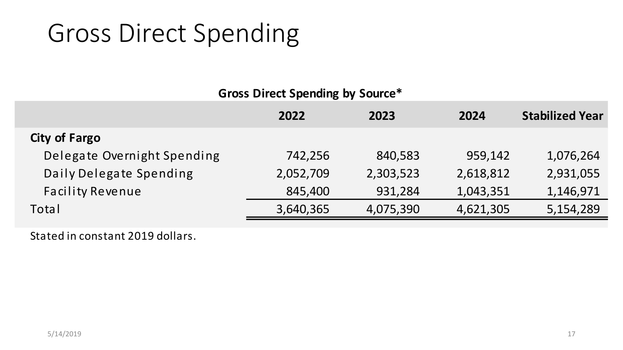### Gross Direct Spending

### **Gross Direct Spending by Source\***

|                             | 2022      | 2023      | 2024      | <b>Stabilized Year</b> |
|-----------------------------|-----------|-----------|-----------|------------------------|
| <b>City of Fargo</b>        |           |           |           |                        |
| Delegate Overnight Spending | 742,256   | 840,583   | 959,142   | 1,076,264              |
| Daily Delegate Spending     | 2,052,709 | 2,303,523 | 2,618,812 | 2,931,055              |
| <b>Facility Revenue</b>     | 845,400   | 931,284   | 1,043,351 | 1,146,971              |
| Total                       | 3,640,365 | 4,075,390 | 4,621,305 | 5,154,289              |

Stated in constant 2019 dollars.